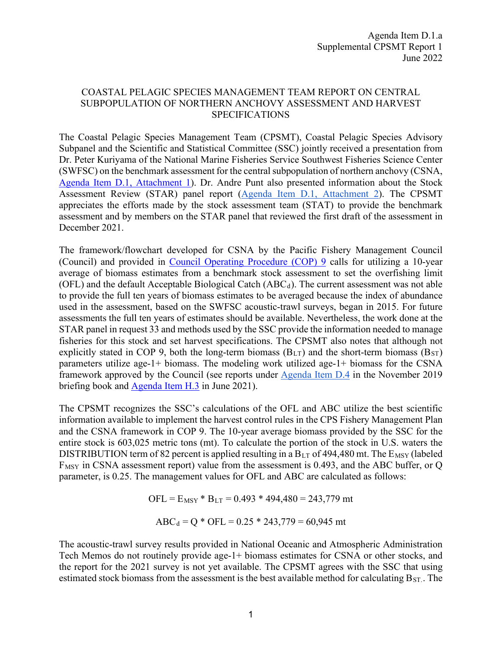## COASTAL PELAGIC SPECIES MANAGEMENT TEAM REPORT ON CENTRAL SUBPOPULATION OF NORTHERN ANCHOVY ASSESSMENT AND HARVEST SPECIFICATIONS

The Coastal Pelagic Species Management Team (CPSMT), Coastal Pelagic Species Advisory Subpanel and the Scientific and Statistical Committee (SSC) jointly received a presentation from Dr. Peter Kuriyama of the National Marine Fisheries Service Southwest Fisheries Science Center (SWFSC) on the benchmark assessment for the central subpopulation of northern anchovy (CSNA, Agenda Item D.1, Attachment 1). Dr. Andre Punt also presented information about the Stock Assessment Review (STAR) panel report (Agenda Item D.1, Attachment 2). The CPSMT appreciates the efforts made by the stock assessment team (STAT) to provide the benchmark assessment and by members on the STAR panel that reviewed the first draft of the assessment in December 2021.

The framework/flowchart developed for CSNA by the Pacific Fishery Management Council (Council) and provided in Council Operating Procedure (COP) 9 calls for utilizing a 10-year average of biomass estimates from a benchmark stock assessment to set the overfishing limit (OFL) and the default Acceptable Biological Catch  $(ABC_d)$ . The current assessment was not able to provide the full ten years of biomass estimates to be averaged because the index of abundance used in the assessment, based on the SWFSC acoustic-trawl surveys, began in 2015. For future assessments the full ten years of estimates should be available. Nevertheless, the work done at the STAR panel in request 33 and methods used by the SSC provide the information needed to manage fisheries for this stock and set harvest specifications. The CPSMT also notes that although not explicitly stated in COP 9, both the long-term biomass  $(B_{LT})$  and the short-term biomass  $(B_{ST})$ parameters utilize age-1+ biomass. The modeling work utilized age-1+ biomass for the CSNA framework approved by the Council (see reports under Agenda Item D.4 in the November 2019 briefing book and Agenda Item H.3 in June 2021).

The CPSMT recognizes the SSC's calculations of the OFL and ABC utilize the best scientific information available to implement the harvest control rules in the CPS Fishery Management Plan and the CSNA framework in COP 9. The 10-year average biomass provided by the SSC for the entire stock is 603,025 metric tons (mt). To calculate the portion of the stock in U.S. waters the DISTRIBUTION term of 82 percent is applied resulting in a  $B_{LT}$  of 494,480 mt. The  $E_{MSY}$  (labeled  $F_{MSY}$  in CSNA assessment report) value from the assessment is 0.493, and the ABC buffer, or Q parameter, is 0.25. The management values for OFL and ABC are calculated as follows:

> $OFL = E$ <sub>MSY</sub> \*  $B_{LT} = 0.493$  \* 494,480 = 243,779 mt  $ABC_d = Q * OFL = 0.25 * 243,779 = 60,945$  mt

The acoustic-trawl survey results provided in National Oceanic and Atmospheric Administration Tech Memos do not routinely provide age-1+ biomass estimates for CSNA or other stocks, and the report for the 2021 survey is not yet available. The CPSMT agrees with the SSC that using estimated stock biomass from the assessment is the best available method for calculating  $B_{ST}$ . The